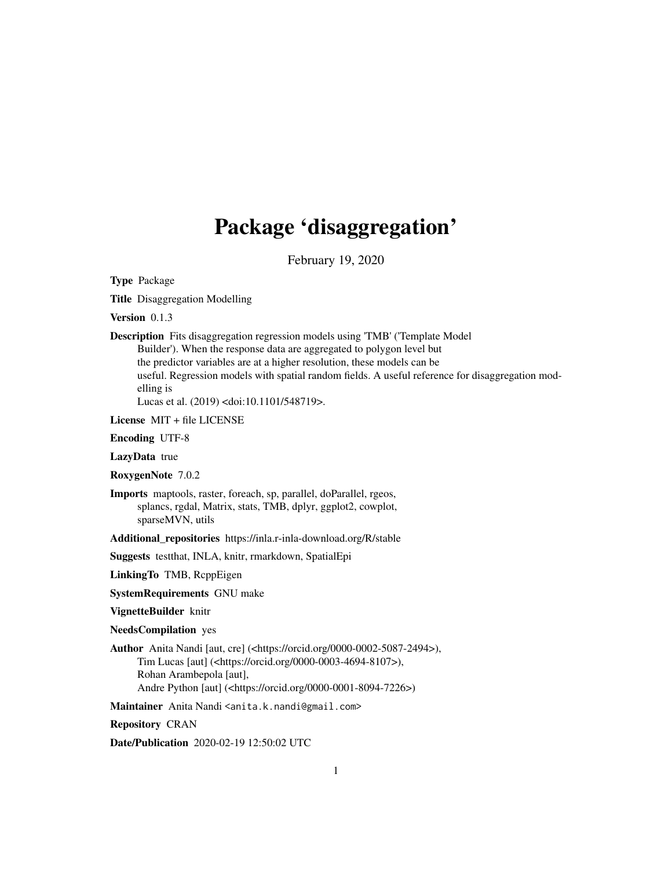# Package 'disaggregation'

February 19, 2020

<span id="page-0-0"></span>Type Package

Title Disaggregation Modelling

Version 0.1.3

Description Fits disaggregation regression models using 'TMB' ('Template Model Builder'). When the response data are aggregated to polygon level but the predictor variables are at a higher resolution, these models can be useful. Regression models with spatial random fields. A useful reference for disaggregation modelling is Lucas et al. (2019) <doi:10.1101/548719>.

License MIT + file LICENSE

Encoding UTF-8

LazyData true

RoxygenNote 7.0.2

Imports maptools, raster, foreach, sp, parallel, doParallel, rgeos, splancs, rgdal, Matrix, stats, TMB, dplyr, ggplot2, cowplot, sparseMVN, utils

Additional repositories https://inla.r-inla-download.org/R/stable

Suggests testthat, INLA, knitr, rmarkdown, SpatialEpi

LinkingTo TMB, RcppEigen

SystemRequirements GNU make

VignetteBuilder knitr

NeedsCompilation yes

Author Anita Nandi [aut, cre] (<https://orcid.org/0000-0002-5087-2494>), Tim Lucas [aut] (<https://orcid.org/0000-0003-4694-8107>), Rohan Arambepola [aut], Andre Python [aut] (<https://orcid.org/0000-0001-8094-7226>)

Maintainer Anita Nandi <anita.k.nandi@gmail.com>

Repository CRAN

Date/Publication 2020-02-19 12:50:02 UTC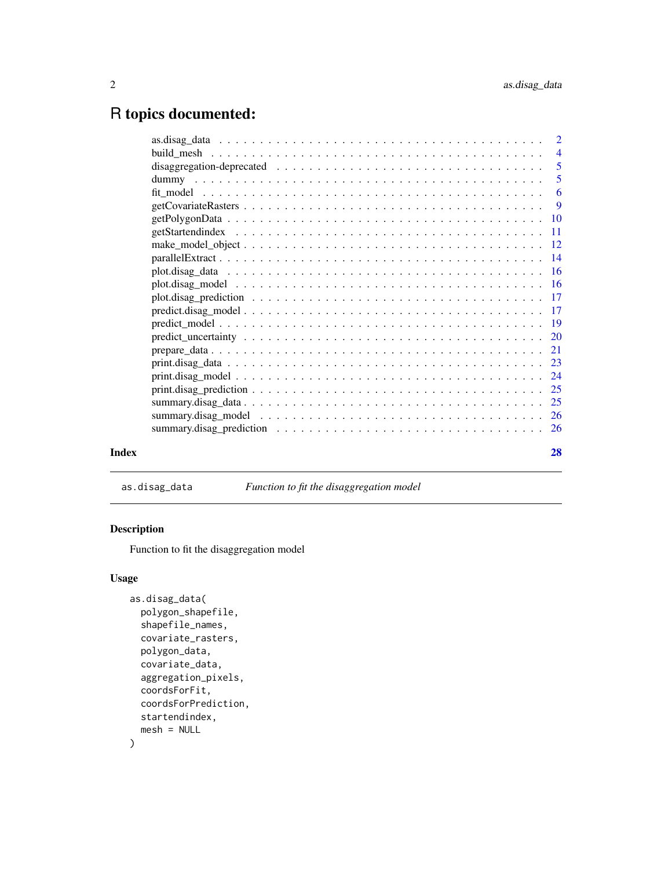# <span id="page-1-0"></span>R topics documented:

|       | 5  |
|-------|----|
|       |    |
|       |    |
|       |    |
|       |    |
|       |    |
|       |    |
|       |    |
|       |    |
|       |    |
|       |    |
|       |    |
|       |    |
|       |    |
|       |    |
|       |    |
|       |    |
|       |    |
|       |    |
|       |    |
| Index | 28 |

as.disag\_data *Function to fit the disaggregation model*

# Description

Function to fit the disaggregation model

# Usage

```
as.disag_data(
 polygon_shapefile,
  shapefile_names,
  covariate_rasters,
 polygon_data,
  covariate_data,
  aggregation_pixels,
  coordsForFit,
  coordsForPrediction,
  startendindex,
  mesh = NULL
\mathcal{L}
```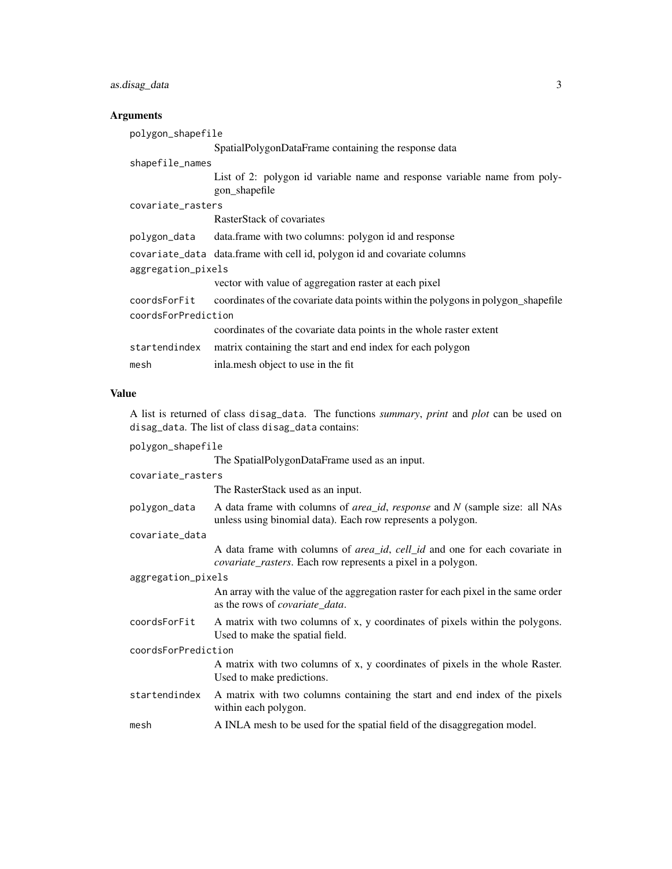# as.disag\_data 3

#### **Arguments**

| polygon_shapefile   |                                                                                            |  |
|---------------------|--------------------------------------------------------------------------------------------|--|
|                     | SpatialPolygonDataFrame containing the response data                                       |  |
| shapefile_names     |                                                                                            |  |
|                     | List of 2: polygon id variable name and response variable name from poly-<br>gon_shapefile |  |
| covariate_rasters   |                                                                                            |  |
|                     | RasterStack of covariates                                                                  |  |
|                     | polygon_data data.frame with two columns: polygon id and response                          |  |
|                     | covariate_data data.frame with cell id, polygon id and covariate columns                   |  |
| aggregation_pixels  |                                                                                            |  |
|                     | vector with value of aggregation raster at each pixel                                      |  |
| coordsForFit        | coordinates of the covariate data points within the polygons in polygon_shapefile          |  |
| coordsForPrediction |                                                                                            |  |
|                     | coordinates of the covariate data points in the whole raster extent                        |  |
| startendindex       | matrix containing the start and end index for each polygon                                 |  |
| mesh                | inlamesh object to use in the fit                                                          |  |

#### Value

A list is returned of class disag\_data. The functions *summary*, *print* and *plot* can be used on disag\_data. The list of class disag\_data contains:

polygon\_shapefile

|  | The SpatialPolygonDataFrame used as an input. |  |  |
|--|-----------------------------------------------|--|--|
|  |                                               |  |  |

The RasterStack used as an input.

Used to make predictions.

polygon\_data A data frame with columns of *area\_id*, *response* and *N* (sample size: all NAs unless using binomial data). Each row represents a polygon.

covariate\_data

A data frame with columns of *area\_id*, *cell\_id* and one for each covariate in *covariate\_rasters*. Each row represents a pixel in a polygon.

aggregation\_pixels

coordsForPrediction

An array with the value of the aggregation raster for each pixel in the same order as the rows of *covariate\_data*.

A matrix with two columns of x, y coordinates of pixels in the whole Raster.

coordsForFit A matrix with two columns of x, y coordinates of pixels within the polygons. Used to make the spatial field.

startendindex A matrix with two columns containing the start and end index of the pixels within each polygon.

mesh A INLA mesh to be used for the spatial field of the disaggregation model.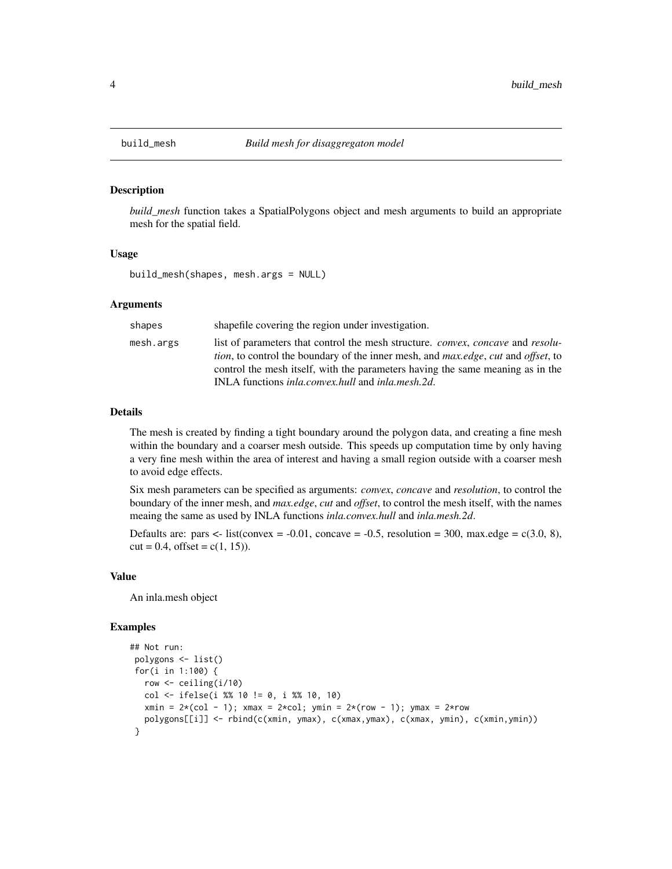<span id="page-3-0"></span>

#### Description

*build\_mesh* function takes a SpatialPolygons object and mesh arguments to build an appropriate mesh for the spatial field.

#### Usage

build\_mesh(shapes, mesh.args = NULL)

#### Arguments

| shapes    | shapefile covering the region under investigation.                                                                                                                                                                                                                                                                                                                     |
|-----------|------------------------------------------------------------------------------------------------------------------------------------------------------------------------------------------------------------------------------------------------------------------------------------------------------------------------------------------------------------------------|
| mesh.args | list of parameters that control the mesh structure. <i>convex, concave</i> and <i>resolu-</i><br><i>tion</i> , to control the boundary of the inner mesh, and <i>max.edge</i> , <i>cut</i> and <i>offset</i> , to<br>control the mesh itself, with the parameters having the same meaning as in the<br>INLA functions <i>inla.convex.hull</i> and <i>inla.mesh.2d.</i> |

#### Details

The mesh is created by finding a tight boundary around the polygon data, and creating a fine mesh within the boundary and a coarser mesh outside. This speeds up computation time by only having a very fine mesh within the area of interest and having a small region outside with a coarser mesh to avoid edge effects.

Six mesh parameters can be specified as arguments: *convex*, *concave* and *resolution*, to control the boundary of the inner mesh, and *max.edge*, *cut* and *offset*, to control the mesh itself, with the names meaing the same as used by INLA functions *inla.convex.hull* and *inla.mesh.2d*.

Defaults are: pars  $\lt$ - list(convex = -0.01, concave = -0.5, resolution = 300, max.edge = c(3.0, 8),  $cut = 0.4$ , offset =  $c(1, 15)$ ).

#### Value

An inla.mesh object

```
## Not run:
polygons <- list()
for(i in 1:100) {
  row <- ceiling(i/10)
  col <- ifelse(i %% 10 != 0, i %% 10, 10)
  xmin = 2*(col - 1); xmax = 2*col; ymin = 2*(row - 1); ymax = 2*rowpolygons[[i]] <- rbind(c(xmin, ymax), c(xmax,ymax), c(xmax, ymin), c(xmin,ymin))
 }
```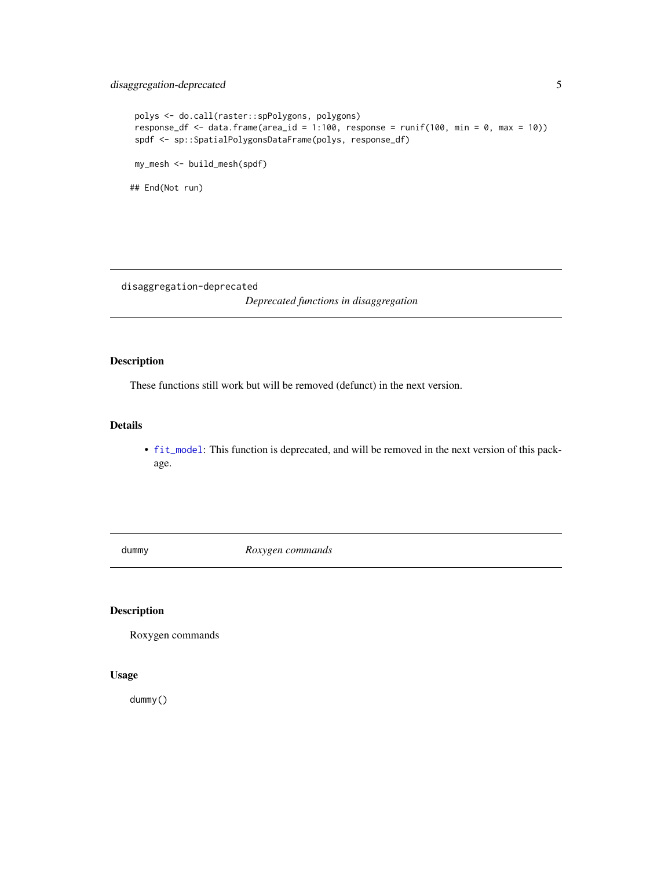# <span id="page-4-0"></span>disaggregation-deprecated 5

```
polys <- do.call(raster::spPolygons, polygons)
response_df <- data.frame(area_id = 1:100, response = runif(100, min = 0, max = 10))
spdf <- sp::SpatialPolygonsDataFrame(polys, response_df)
my_mesh <- build_mesh(spdf)
## End(Not run)
```
disaggregation-deprecated

*Deprecated functions in disaggregation*

# Description

These functions still work but will be removed (defunct) in the next version.

#### Details

• [fit\\_model](#page-5-1): This function is deprecated, and will be removed in the next version of this package.

dummy *Roxygen commands*

#### Description

Roxygen commands

# Usage

dummy()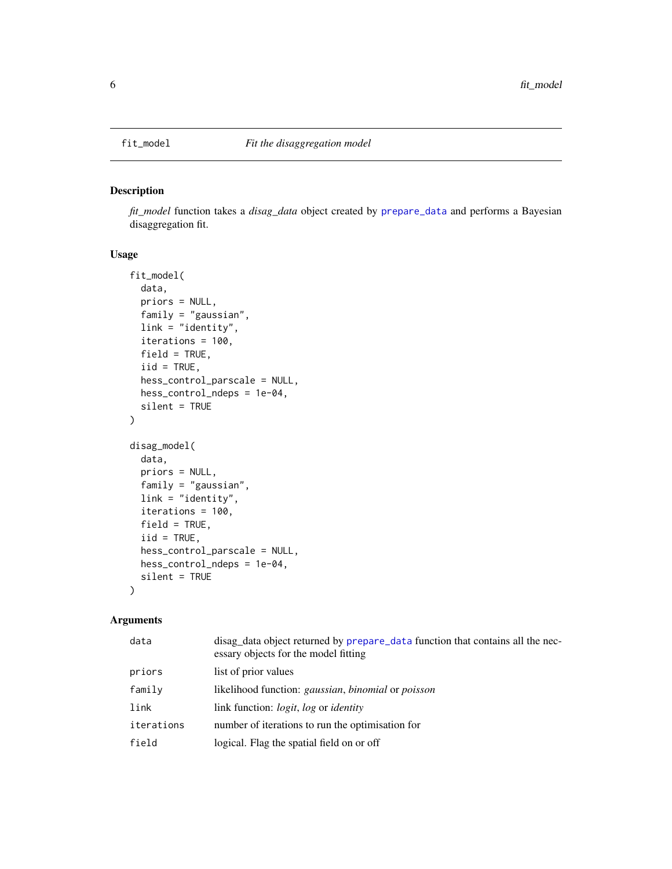<span id="page-5-1"></span><span id="page-5-0"></span>

#### Description

*fit\_model* function takes a *disag\_data* object created by [prepare\\_data](#page-20-1) and performs a Bayesian disaggregation fit.

## Usage

```
fit_model(
  data,
  priors = NULL,
  family = "gaussian",
  link = "identity",
  iterations = 100,
  field = TRUE,
  iid = TRUE,hess_control_parscale = NULL,
 hess_control_ndeps = 1e-04,
  silent = TRUE
)
disag_model(
  data,
 priors = NULL,
  family = "gaussian",
  link = "identity",
  iterations = 100,
  field = TRUE,
  iid = TRUE,hess_control_parscale = NULL,
 hess_control_ndeps = 1e-04,
  silent = TRUE
)
```
#### Arguments

| data       | disag_data object returned by prepare_data function that contains all the nec-<br>essary objects for the model fitting |
|------------|------------------------------------------------------------------------------------------------------------------------|
| priors     | list of prior values                                                                                                   |
| family     | likelihood function: gaussian, binomial or poisson                                                                     |
| link       | link function: <i>logit</i> , <i>log</i> or <i>identity</i>                                                            |
| iterations | number of iterations to run the optimisation for                                                                       |
| field      | logical. Flag the spatial field on or off                                                                              |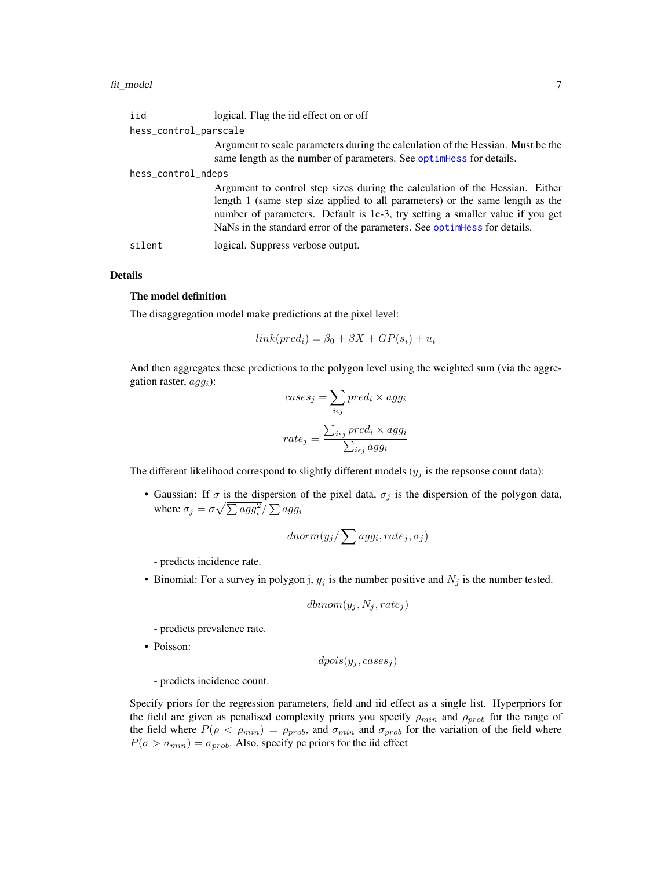<span id="page-6-0"></span>

| iid                   | logical. Flag the iid effect on or off                                                                                                                                                                                                                                                                                      |
|-----------------------|-----------------------------------------------------------------------------------------------------------------------------------------------------------------------------------------------------------------------------------------------------------------------------------------------------------------------------|
| hess_control_parscale |                                                                                                                                                                                                                                                                                                                             |
|                       | Argument to scale parameters during the calculation of the Hessian. Must be the<br>same length as the number of parameters. See optimiless for details.                                                                                                                                                                     |
| hess_control_ndeps    |                                                                                                                                                                                                                                                                                                                             |
|                       | Argument to control step sizes during the calculation of the Hessian. Either<br>length 1 (same step size applied to all parameters) or the same length as the<br>number of parameters. Default is 1e-3, try setting a smaller value if you get<br>NaNs in the standard error of the parameters. See optimeners for details. |
| silent                | logical. Suppress verbose output.                                                                                                                                                                                                                                                                                           |

#### Details

## The model definition

The disaggregation model make predictions at the pixel level:

$$
link(pred_i) = \beta_0 + \beta X + GP(s_i) + u_i
$$

And then aggregates these predictions to the polygon level using the weighted sum (via the aggregation raster,  $agg<sub>i</sub>$ ):

$$
cases_{ij} = \sum_{i \in j} pred_i \times agg_i
$$

$$
rate_j = \frac{\sum_{i \in j} pred_i \times agg_i}{\sum_{i \in j} agg_i}
$$

The different likelihood correspond to slightly different models  $(y_j)$  is the repsonse count data):

• Gaussian: If  $\sigma$  is the dispersion of the pixel data,  $\sigma_j$  is the dispersion of the polygon data, where  $\sigma_j = \sigma \sqrt{\sum a g g_i^2}/\sum a g g_i$ 

$$
dnorm(y_j/\sum agg_i, rate_j, \sigma_j)
$$

- predicts incidence rate.

• Binomial: For a survey in polygon j,  $y_j$  is the number positive and  $N_j$  is the number tested.

$$
dbinom(y_j, N_j, rate_j)
$$

- predicts prevalence rate.

• Poisson:

 $dpois(y_j, cases_j)$ 

- predicts incidence count.

Specify priors for the regression parameters, field and iid effect as a single list. Hyperpriors for the field are given as penalised complexity priors you specify  $\rho_{min}$  and  $\rho_{prob}$  for the range of the field where  $P(\rho < \rho_{min}) = \rho_{prob}$ , and  $\sigma_{min}$  and  $\sigma_{prob}$  for the variation of the field where  $P(\sigma > \sigma_{min}) = \sigma_{prob}$ . Also, specify pc priors for the iid effect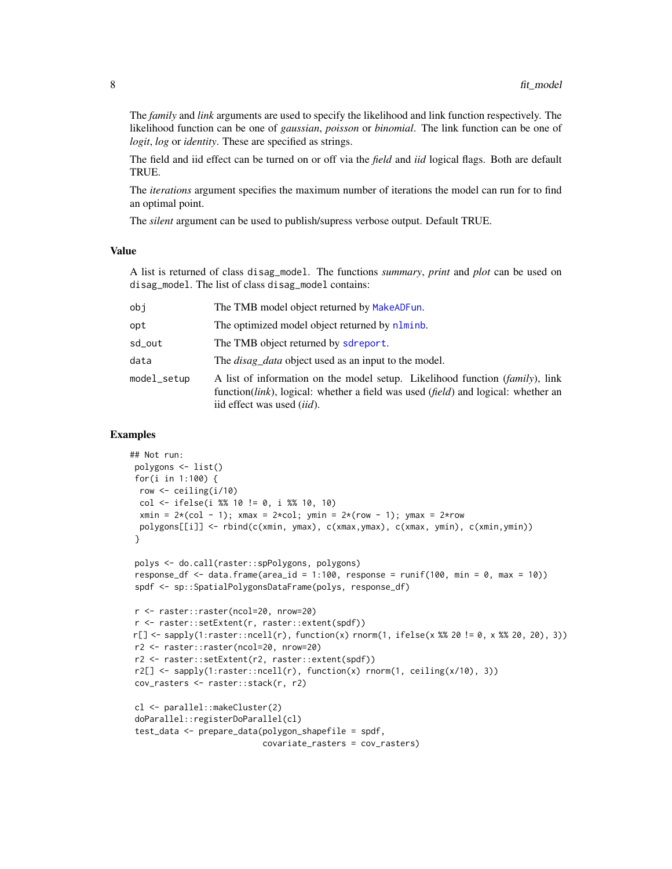<span id="page-7-0"></span>The *family* and *link* arguments are used to specify the likelihood and link function respectively. The likelihood function can be one of *gaussian*, *poisson* or *binomial*. The link function can be one of *logit*, *log* or *identity*. These are specified as strings.

The field and iid effect can be turned on or off via the *field* and *iid* logical flags. Both are default TRUE.

The *iterations* argument specifies the maximum number of iterations the model can run for to find an optimal point.

The *silent* argument can be used to publish/supress verbose output. Default TRUE.

#### Value

A list is returned of class disag\_model. The functions *summary*, *print* and *plot* can be used on disag\_model. The list of class disag\_model contains:

| obi         | The TMB model object returned by MakeADFun.                                                                                                                                                                               |
|-------------|---------------------------------------------------------------------------------------------------------------------------------------------------------------------------------------------------------------------------|
| opt         | The optimized model object returned by nlminb.                                                                                                                                                                            |
| sd_out      | The TMB object returned by sdreport.                                                                                                                                                                                      |
| data        | The <i>disag data</i> object used as an input to the model.                                                                                                                                                               |
| model_setup | A list of information on the model setup. Likelihood function <i>(family)</i> , link<br>function( <i>link</i> ), logical: whether a field was used ( <i>field</i> ) and logical: whether an<br>iid effect was used (iid). |

```
## Not run:
polygons <- list()
for(i in 1:100) {
 row <- ceiling(i/10)
 col <- ifelse(i %% 10 != 0, i %% 10, 10)
 xmin = 2*(col - 1); xmax = 2*col; ymin = 2*(row - 1); ymax = 2*rowpolygons[[i]] <- rbind(c(xmin, ymax), c(xmax,ymax), c(xmax, ymin), c(xmin,ymin))
}
polys <- do.call(raster::spPolygons, polygons)
response_df <- data.frame(area_id = 1:100, response = runif(100, min = 0, max = 10))
spdf <- sp::SpatialPolygonsDataFrame(polys, response_df)
r <- raster::raster(ncol=20, nrow=20)
r <- raster::setExtent(r, raster::extent(spdf))
r[] <- sapply(1:raster::ncell(r), function(x) rnorm(1, ifelse(x %% 20 != 0, x %% 20, 20), 3))
r2 <- raster::raster(ncol=20, nrow=20)
r2 <- raster::setExtent(r2, raster::extent(spdf))
r2[] \leq sapply(1:raster::ncell(r), function(x) rnorm(1, ceiling(x/10), 3))
cov_rasters <- raster::stack(r, r2)
cl <- parallel::makeCluster(2)
doParallel::registerDoParallel(cl)
test_data <- prepare_data(polygon_shapefile = spdf,
                           covariate_rasters = cov_rasters)
```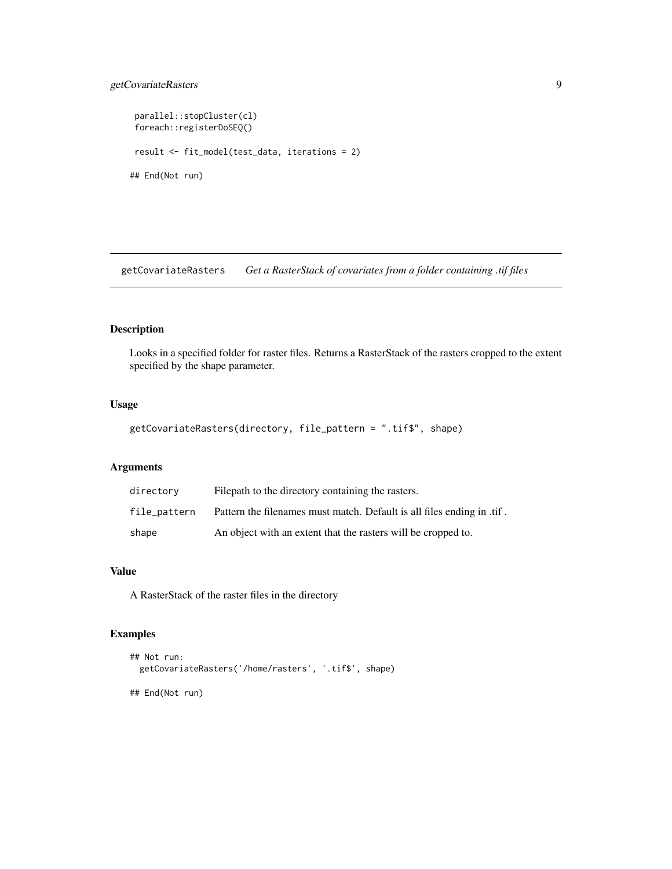# <span id="page-8-0"></span>getCovariateRasters 9

```
parallel::stopCluster(cl)
foreach::registerDoSEQ()
result <- fit_model(test_data, iterations = 2)
## End(Not run)
```
getCovariateRasters *Get a RasterStack of covariates from a folder containing .tif files*

#### Description

Looks in a specified folder for raster files. Returns a RasterStack of the rasters cropped to the extent specified by the shape parameter.

# Usage

```
getCovariateRasters(directory, file_pattern = ".tif$", shape)
```
#### Arguments

| directory    | Filepath to the directory containing the rasters.                      |
|--------------|------------------------------------------------------------------------|
| file_pattern | Pattern the filenames must match. Default is all files ending in .tif. |
| shape        | An object with an extent that the rasters will be cropped to.          |

#### Value

A RasterStack of the raster files in the directory

```
## Not run:
 getCovariateRasters('/home/rasters', '.tif$', shape)
## End(Not run)
```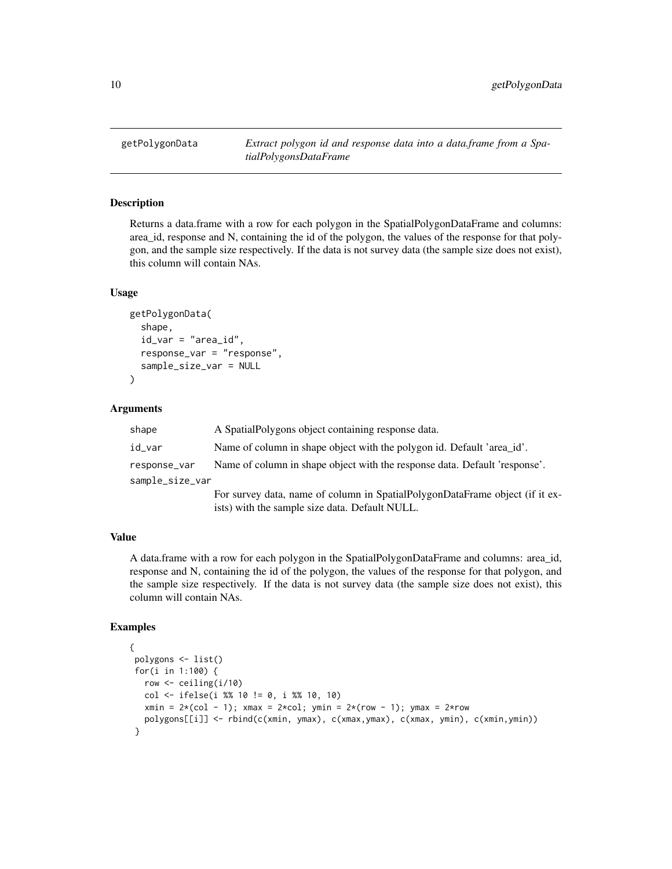<span id="page-9-0"></span>

#### Description

Returns a data.frame with a row for each polygon in the SpatialPolygonDataFrame and columns: area id, response and N, containing the id of the polygon, the values of the response for that polygon, and the sample size respectively. If the data is not survey data (the sample size does not exist), this column will contain NAs.

#### Usage

```
getPolygonData(
  shape,
  id_var = "area_id",
  response_var = "response",
  sample_size_var = NULL
)
```
#### Arguments

| shape           | A Spatial Polygons object containing response data.                          |
|-----------------|------------------------------------------------------------------------------|
| id_var          | Name of column in shape object with the polygon id. Default 'area_id'.       |
| response_var    | Name of column in shape object with the response data. Default 'response'.   |
| sample_size_var |                                                                              |
|                 | For survey data, name of column in SpatialPolygonDataFrame object (if it ex- |

ists) with the sample size data. Default NULL.

### Value

A data.frame with a row for each polygon in the SpatialPolygonDataFrame and columns: area\_id, response and N, containing the id of the polygon, the values of the response for that polygon, and the sample size respectively. If the data is not survey data (the sample size does not exist), this column will contain NAs.

```
{
polygons <- list()
for(i in 1:100) {
  row <- ceiling(i/10)
  col <- ifelse(i %% 10 != 0, i %% 10, 10)
  xmin = 2*(col - 1); xmax = 2*col; ymin = 2*(row - 1); ymax = 2*rowpolygons[[i]] <- rbind(c(xmin, ymax), c(xmax,ymax), c(xmax, ymin), c(xmin,ymin))
 }
```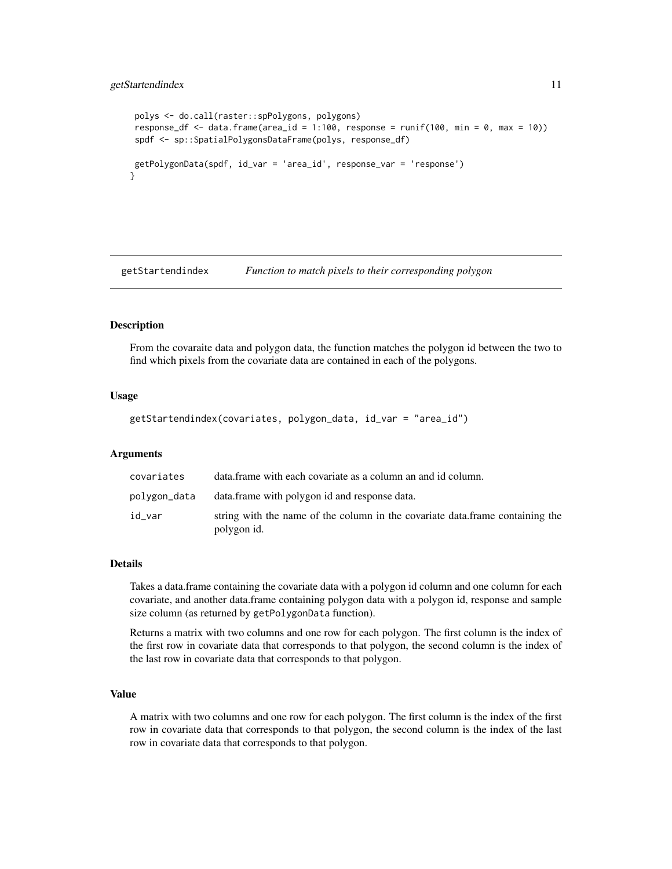#### <span id="page-10-0"></span>getStartendindex 11

```
polys <- do.call(raster::spPolygons, polygons)
response_df <- data.frame(area_id = 1:100, response = runif(100, min = 0, max = 10))
spdf <- sp::SpatialPolygonsDataFrame(polys, response_df)
getPolygonData(spdf, id_var = 'area_id', response_var = 'response')
}
```
getStartendindex *Function to match pixels to their corresponding polygon*

# Description

From the covaraite data and polygon data, the function matches the polygon id between the two to find which pixels from the covariate data are contained in each of the polygons.

#### Usage

```
getStartendindex(covariates, polygon_data, id_var = "area_id")
```
#### Arguments

| covariates   | data frame with each covariate as a column an and id column.                                  |
|--------------|-----------------------------------------------------------------------------------------------|
| polygon_data | data. frame with polygon id and response data.                                                |
| id var       | string with the name of the column in the covariate data. frame containing the<br>polygon id. |

#### Details

Takes a data.frame containing the covariate data with a polygon id column and one column for each covariate, and another data.frame containing polygon data with a polygon id, response and sample size column (as returned by getPolygonData function).

Returns a matrix with two columns and one row for each polygon. The first column is the index of the first row in covariate data that corresponds to that polygon, the second column is the index of the last row in covariate data that corresponds to that polygon.

#### Value

A matrix with two columns and one row for each polygon. The first column is the index of the first row in covariate data that corresponds to that polygon, the second column is the index of the last row in covariate data that corresponds to that polygon.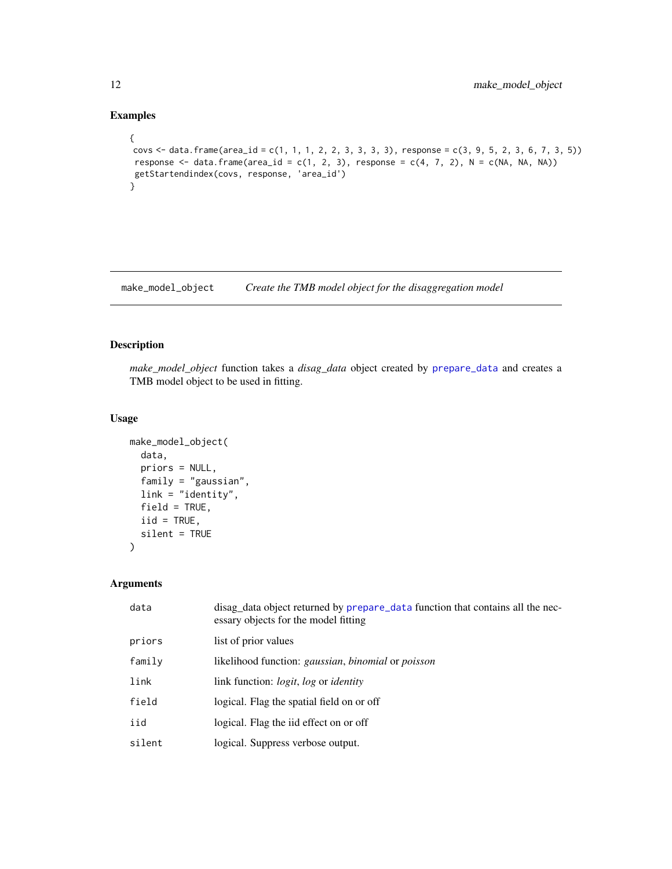# Examples

```
{
covs <- data.frame(area_id = c(1, 1, 1, 2, 2, 3, 3, 3, 3), response = c(3, 9, 5, 2, 3, 6, 7, 3, 5))
 response \le - data.frame(area_id = c(1, 2, 3), response = c(4, 7, 2), N = c(NA, NA, NA))
 getStartendindex(covs, response, 'area_id')
}
```
make\_model\_object *Create the TMB model object for the disaggregation model*

# Description

*make\_model\_object* function takes a *disag\_data* object created by [prepare\\_data](#page-20-1) and creates a TMB model object to be used in fitting.

# Usage

```
make_model_object(
 data,
 priors = NULL,
 family = "gaussian",
 link = "identity",
 field = TRUE,iid = TRUE,silent = TRUE
)
```
#### Arguments

| data   | disag_data object returned by prepare_data function that contains all the nec-<br>essary objects for the model fitting |
|--------|------------------------------------------------------------------------------------------------------------------------|
| priors | list of prior values                                                                                                   |
| family | likelihood function: <i>gaussian</i> , <i>binomial</i> or <i>poisson</i>                                               |
| link   | link function: <i>logit</i> , <i>log</i> or <i>identity</i>                                                            |
| field  | logical. Flag the spatial field on or off                                                                              |
| iid    | logical. Flag the iid effect on or off                                                                                 |
| silent | logical. Suppress verbose output.                                                                                      |
|        |                                                                                                                        |

<span id="page-11-0"></span>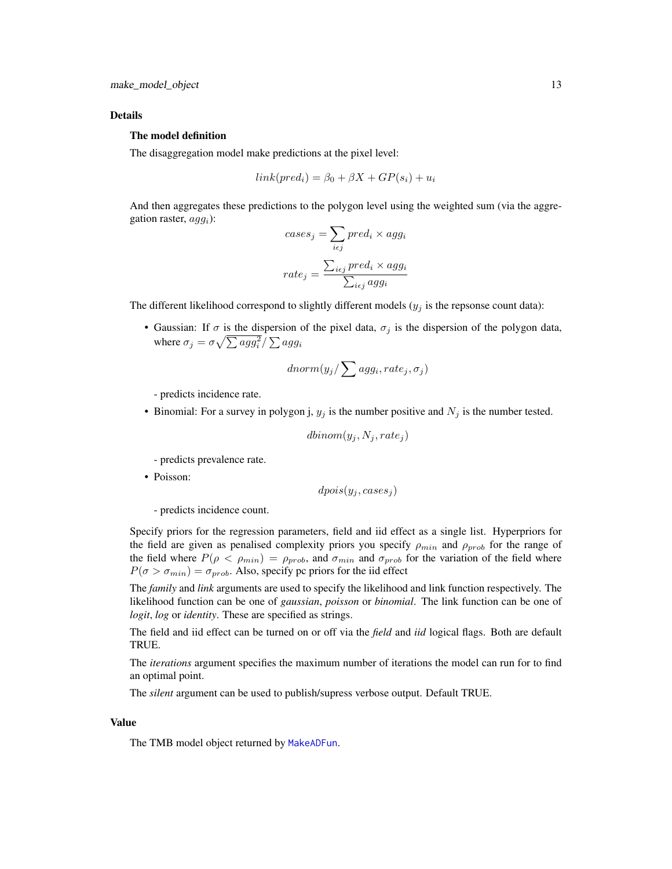#### <span id="page-12-0"></span>Details

#### The model definition

The disaggregation model make predictions at the pixel level:

$$
link(pred_i) = \beta_0 + \beta X + GP(s_i) + u_i
$$

And then aggregates these predictions to the polygon level using the weighted sum (via the aggregation raster,  $agg<sub>i</sub>$ ):

$$
cases_j = \sum_{i \in j} pred_i \times agg_i
$$

$$
rate_j = \frac{\sum_{i \in j} pred_i \times agg_i}{\sum_{i \in j} agg_i}
$$

The different likelihood correspond to slightly different models  $(y_j)$  is the repsonse count data):

• Gaussian: If  $\sigma$  is the dispersion of the pixel data,  $\sigma_j$  is the dispersion of the polygon data, where  $\sigma_j = \sigma \sqrt{\sum a g g_i^2}/\sum a g g_i$ 

$$
dnorm(y_j/\sum agg_i, rate_j, \sigma_j)
$$

- predicts incidence rate.

• Binomial: For a survey in polygon j,  $y_j$  is the number positive and  $N_j$  is the number tested.

$$
dbinom(y_j, N_j, rate_j)
$$

- predicts prevalence rate.

• Poisson:

$$
dpois(y_j, cases_j)
$$

- predicts incidence count.

Specify priors for the regression parameters, field and iid effect as a single list. Hyperpriors for the field are given as penalised complexity priors you specify  $\rho_{min}$  and  $\rho_{prob}$  for the range of the field where  $P(\rho < \rho_{min}) = \rho_{prob}$ , and  $\sigma_{min}$  and  $\sigma_{prob}$  for the variation of the field where  $P(\sigma > \sigma_{min}) = \sigma_{prob}$ . Also, specify pc priors for the iid effect

The *family* and *link* arguments are used to specify the likelihood and link function respectively. The likelihood function can be one of *gaussian*, *poisson* or *binomial*. The link function can be one of *logit*, *log* or *identity*. These are specified as strings.

The field and iid effect can be turned on or off via the *field* and *iid* logical flags. Both are default TRUE.

The *iterations* argument specifies the maximum number of iterations the model can run for to find an optimal point.

The *silent* argument can be used to publish/supress verbose output. Default TRUE.

#### Value

The TMB model object returned by [MakeADFun](#page-0-0).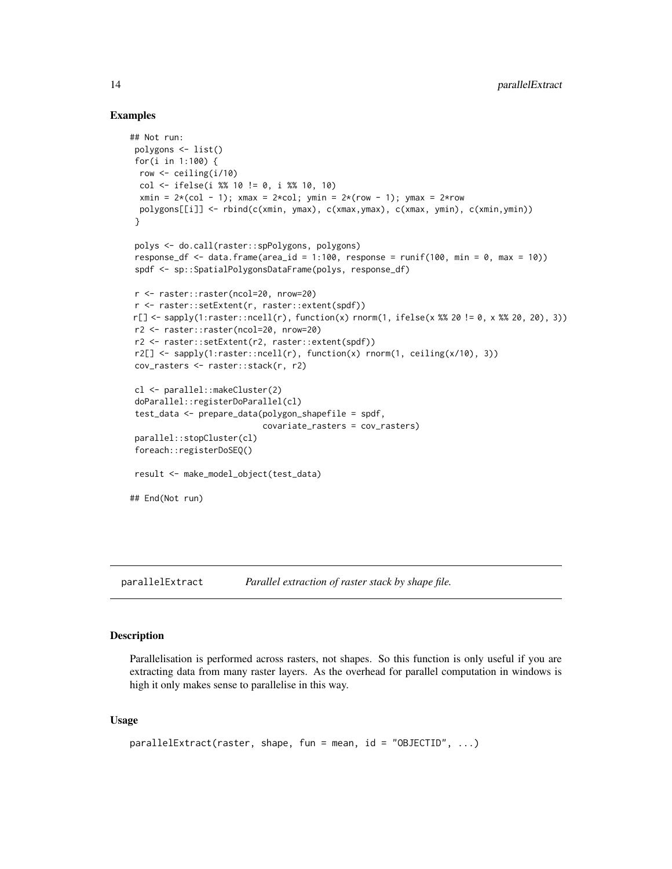#### Examples

```
## Not run:
polygons <- list()
for(i in 1:100) {
 row <- ceiling(i/10)
 col <- ifelse(i %% 10 != 0, i %% 10, 10)
 xmin = 2*(col - 1); xmax = 2*col; ymin = 2*(row - 1); ymax = 2*rowpolygons[[i]] <- rbind(c(xmin, ymax), c(xmax,ymax), c(xmax, ymin), c(xmin,ymin))
 }
 polys <- do.call(raster::spPolygons, polygons)
 response_df \leq data.frame(area_id = 1:100, response = runif(100, min = 0, max = 10))
 spdf <- sp::SpatialPolygonsDataFrame(polys, response_df)
r <- raster::raster(ncol=20, nrow=20)
r <- raster::setExtent(r, raster::extent(spdf))
r[] <- sapply(1:raster::ncell(r), function(x) rnorm(1, ifelse(x %% 20 != 0, x %% 20, 20), 3))
r2 <- raster::raster(ncol=20, nrow=20)
r2 <- raster::setExtent(r2, raster::extent(spdf))
r2[] \leq sapply(1:raster::ncell(r), function(x) rnorm(1, ceiling(x/10), 3))
cov_rasters <- raster::stack(r, r2)
cl <- parallel::makeCluster(2)
 doParallel::registerDoParallel(cl)
 test_data <- prepare_data(polygon_shapefile = spdf,
                           covariate_rasters = cov_rasters)
parallel::stopCluster(cl)
 foreach::registerDoSEQ()
 result <- make_model_object(test_data)
## End(Not run)
```
parallelExtract *Parallel extraction of raster stack by shape file.*

#### **Description**

Parallelisation is performed across rasters, not shapes. So this function is only useful if you are extracting data from many raster layers. As the overhead for parallel computation in windows is high it only makes sense to parallelise in this way.

#### Usage

```
parallelExtract(raster, shape, fun = mean, id = "OBJECTID", ...)
```
<span id="page-13-0"></span>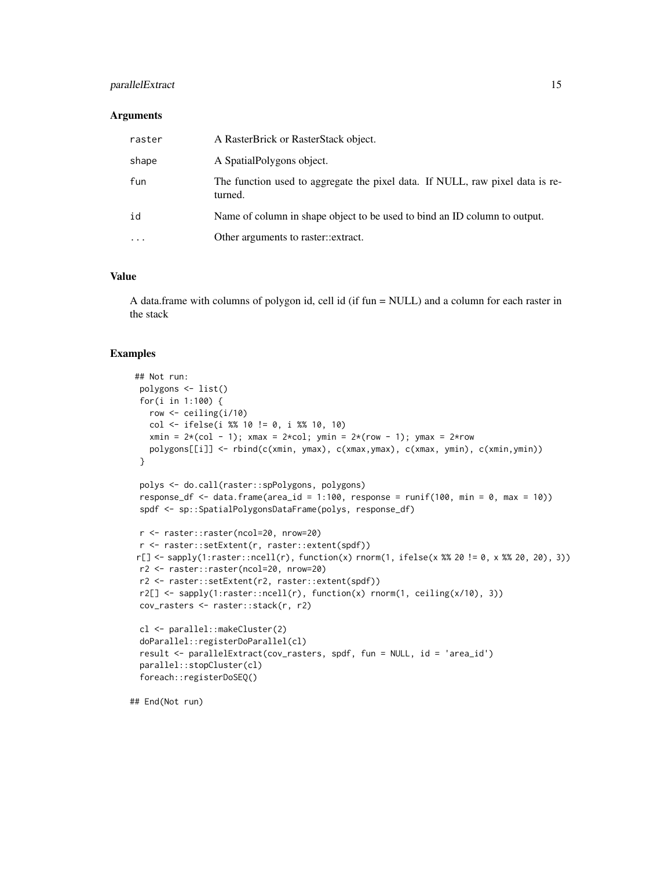# parallelExtract 15

#### **Arguments**

| raster | A RasterBrick or RasterStack object.                                                     |
|--------|------------------------------------------------------------------------------------------|
| shape  | A Spatial Polygons object.                                                               |
| fun    | The function used to aggregate the pixel data. If NULL, raw pixel data is re-<br>turned. |
| id     | Name of column in shape object to be used to bind an ID column to output.                |
| .      | Other arguments to raster::extract.                                                      |
|        |                                                                                          |

# Value

A data.frame with columns of polygon id, cell id (if fun = NULL) and a column for each raster in the stack

#### Examples

```
## Not run:
polygons <- list()
for(i in 1:100) {
  row <- ceiling(i/10)
  col <- ifelse(i %% 10 != 0, i %% 10, 10)
  xmin = 2*(col - 1); xmax = 2*col; ymin = 2*(row - 1); ymax = 2*rowpolygons[[i]] <- rbind(c(xmin, ymax), c(xmax,ymax), c(xmax, ymin), c(xmin,ymin))
}
polys <- do.call(raster::spPolygons, polygons)
response_df <- data.frame(area_id = 1:100, response = runif(100, min = 0, max = 10))
spdf <- sp::SpatialPolygonsDataFrame(polys, response_df)
r <- raster::raster(ncol=20, nrow=20)
r <- raster::setExtent(r, raster::extent(spdf))
r[] <- sapply(1:raster::ncell(r), function(x) rnorm(1, ifelse(x %% 20 != 0, x %% 20, 20), 3))
r2 <- raster::raster(ncol=20, nrow=20)
r2 <- raster::setExtent(r2, raster::extent(spdf))
r2[] \leq sapply(1:raster::ncell(r), function(x) rnorm(1, ceiling(x/10), 3))
cov_rasters <- raster::stack(r, r2)
cl <- parallel::makeCluster(2)
doParallel::registerDoParallel(cl)
result <- parallelExtract(cov_rasters, spdf, fun = NULL, id = 'area_id')
parallel::stopCluster(cl)
foreach::registerDoSEQ()
```
## End(Not run)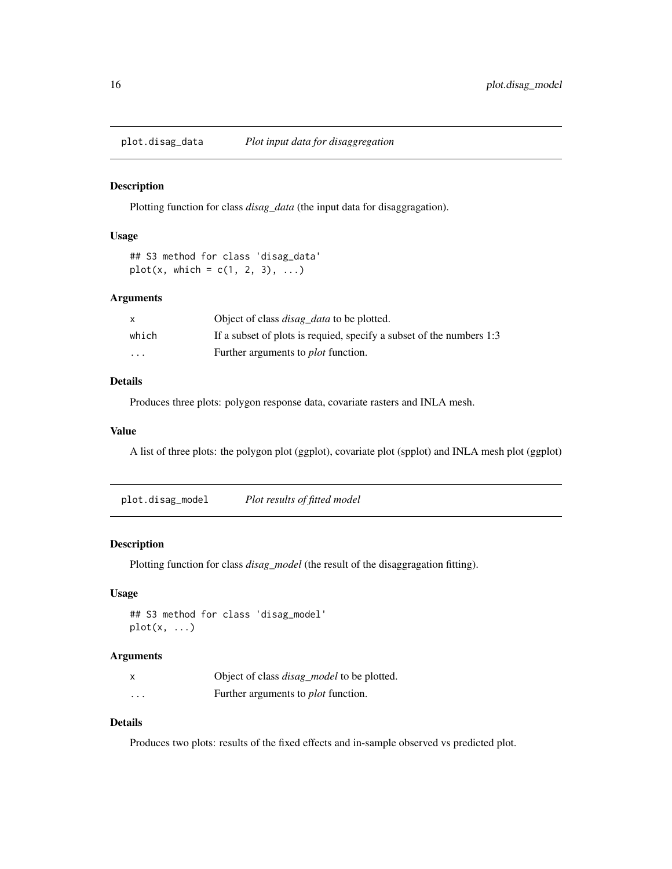<span id="page-15-0"></span>

# Description

Plotting function for class *disag\_data* (the input data for disaggragation).

#### Usage

```
## S3 method for class 'disag_data'
plot(x, which = c(1, 2, 3), ...)
```
#### Arguments

|         | Object of class <i>disag_data</i> to be plotted.                     |
|---------|----------------------------------------------------------------------|
| which   | If a subset of plots is requied, specify a subset of the numbers 1:3 |
| $\cdot$ | Further arguments to <i>plot</i> function.                           |

# Details

Produces three plots: polygon response data, covariate rasters and INLA mesh.

#### Value

A list of three plots: the polygon plot (ggplot), covariate plot (spplot) and INLA mesh plot (ggplot)

plot.disag\_model *Plot results of fitted model*

#### Description

Plotting function for class *disag\_model* (the result of the disaggragation fitting).

## Usage

```
## S3 method for class 'disag_model'
plot(x, \ldots)
```
#### Arguments

|          | Object of class <i>disag_model</i> to be plotted. |
|----------|---------------------------------------------------|
| $\cdots$ | Further arguments to <i>plot</i> function.        |

# Details

Produces two plots: results of the fixed effects and in-sample observed vs predicted plot.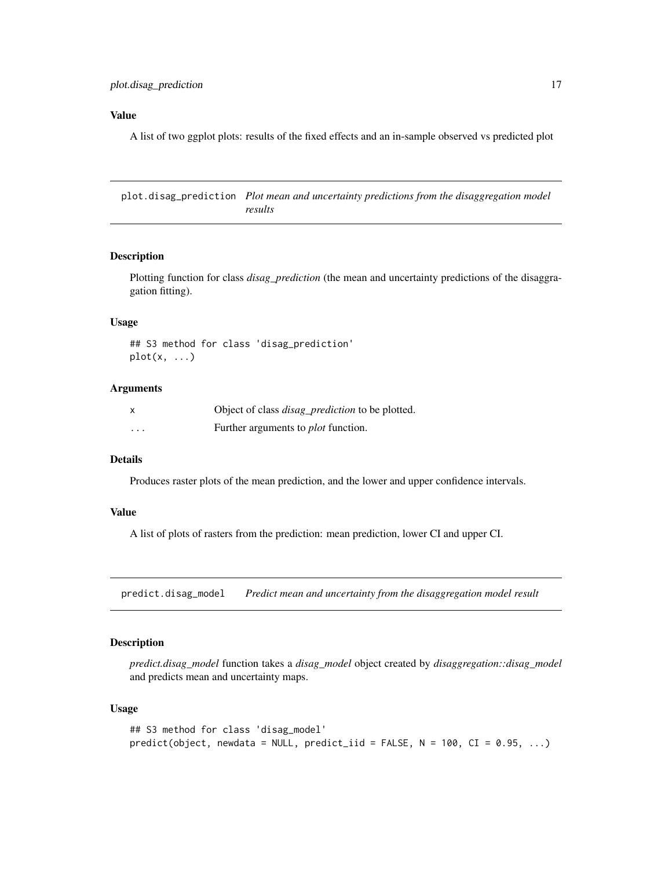#### <span id="page-16-0"></span>Value

A list of two ggplot plots: results of the fixed effects and an in-sample observed vs predicted plot

plot.disag\_prediction *Plot mean and uncertainty predictions from the disaggregation model results*

#### Description

Plotting function for class *disag\_prediction* (the mean and uncertainty predictions of the disaggragation fitting).

#### Usage

```
## S3 method for class 'disag_prediction'
plot(x, \ldots)
```
#### Arguments

|         | Object of class <i>disag_prediction</i> to be plotted. |
|---------|--------------------------------------------------------|
| $\cdot$ | Further arguments to <i>plot</i> function.             |

# Details

Produces raster plots of the mean prediction, and the lower and upper confidence intervals.

#### Value

A list of plots of rasters from the prediction: mean prediction, lower CI and upper CI.

predict.disag\_model *Predict mean and uncertainty from the disaggregation model result*

#### Description

*predict.disag\_model* function takes a *disag\_model* object created by *disaggregation::disag\_model* and predicts mean and uncertainty maps.

#### Usage

```
## S3 method for class 'disag_model'
predict(object, newdata = NULL, predict\_iid = FALSE, N = 100, CI = 0.95, ...)
```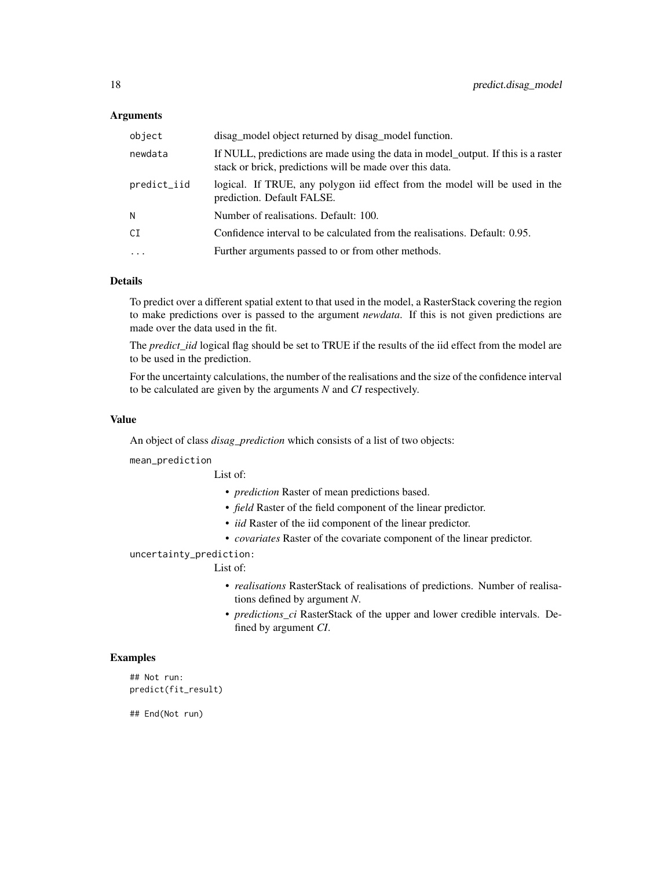#### **Arguments**

| object      | disag_model object returned by disag_model function.                                                                                          |
|-------------|-----------------------------------------------------------------------------------------------------------------------------------------------|
| newdata     | If NULL, predictions are made using the data in model_output. If this is a raster<br>stack or brick, predictions will be made over this data. |
| predict_iid | logical. If TRUE, any polygon iid effect from the model will be used in the<br>prediction. Default FALSE.                                     |
| Ν           | Number of realisations. Default: 100.                                                                                                         |
| СI          | Confidence interval to be calculated from the realisations. Default: 0.95.                                                                    |
| $\cdots$    | Further arguments passed to or from other methods.                                                                                            |

#### Details

To predict over a different spatial extent to that used in the model, a RasterStack covering the region to make predictions over is passed to the argument *newdata*. If this is not given predictions are made over the data used in the fit.

The *predict\_iid* logical flag should be set to TRUE if the results of the iid effect from the model are to be used in the prediction.

For the uncertainty calculations, the number of the realisations and the size of the confidence interval to be calculated are given by the arguments *N* and *CI* respectively.

#### Value

An object of class *disag\_prediction* which consists of a list of two objects:

mean\_prediction

List of:

- *prediction* Raster of mean predictions based.
- *field* Raster of the field component of the linear predictor.
- *iid* Raster of the iid component of the linear predictor.
- *covariates* Raster of the covariate component of the linear predictor.

uncertainty\_prediction:

#### List of:

- *realisations* RasterStack of realisations of predictions. Number of realisations defined by argument *N*.
- *predictions\_ci* RasterStack of the upper and lower credible intervals. Defined by argument *CI*.

# Examples

## Not run: predict(fit\_result)

## End(Not run)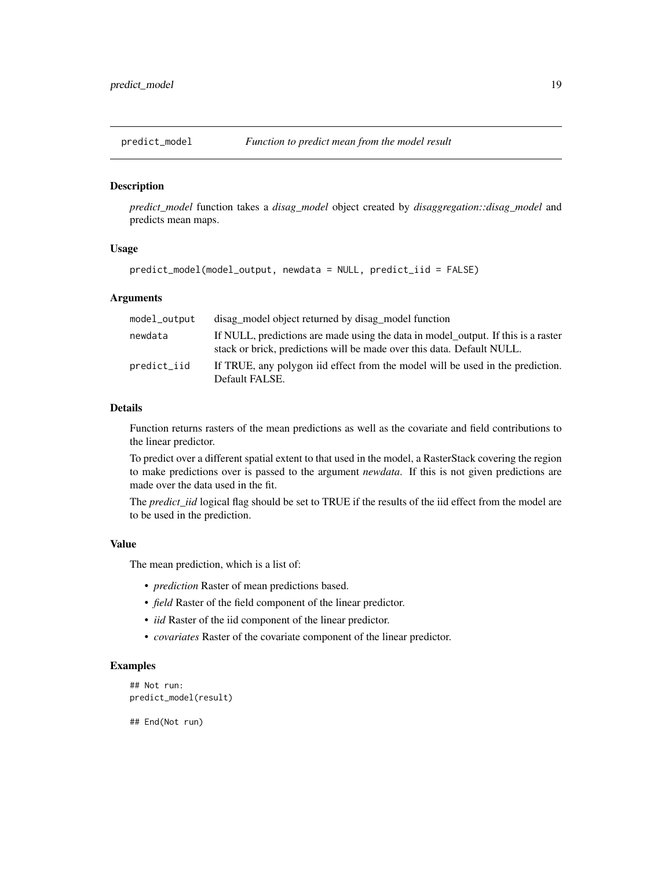<span id="page-18-0"></span>

## Description

*predict\_model* function takes a *disag\_model* object created by *disaggregation::disag\_model* and predicts mean maps.

#### Usage

```
predict_model(model_output, newdata = NULL, predict_iid = FALSE)
```
#### Arguments

| model_output | disag_model object returned by disag_model function                                                                                                         |
|--------------|-------------------------------------------------------------------------------------------------------------------------------------------------------------|
| newdata      | If NULL, predictions are made using the data in model_output. If this is a raster<br>stack or brick, predictions will be made over this data. Default NULL. |
| predict_iid  | If TRUE, any polygon iid effect from the model will be used in the prediction.<br>Default FALSE.                                                            |

#### Details

Function returns rasters of the mean predictions as well as the covariate and field contributions to the linear predictor.

To predict over a different spatial extent to that used in the model, a RasterStack covering the region to make predictions over is passed to the argument *newdata*. If this is not given predictions are made over the data used in the fit.

The *predict\_iid* logical flag should be set to TRUE if the results of the iid effect from the model are to be used in the prediction.

#### Value

The mean prediction, which is a list of:

- *prediction* Raster of mean predictions based.
- *field* Raster of the field component of the linear predictor.
- *iid* Raster of the iid component of the linear predictor.
- *covariates* Raster of the covariate component of the linear predictor.

#### Examples

```
## Not run:
predict_model(result)
```
## End(Not run)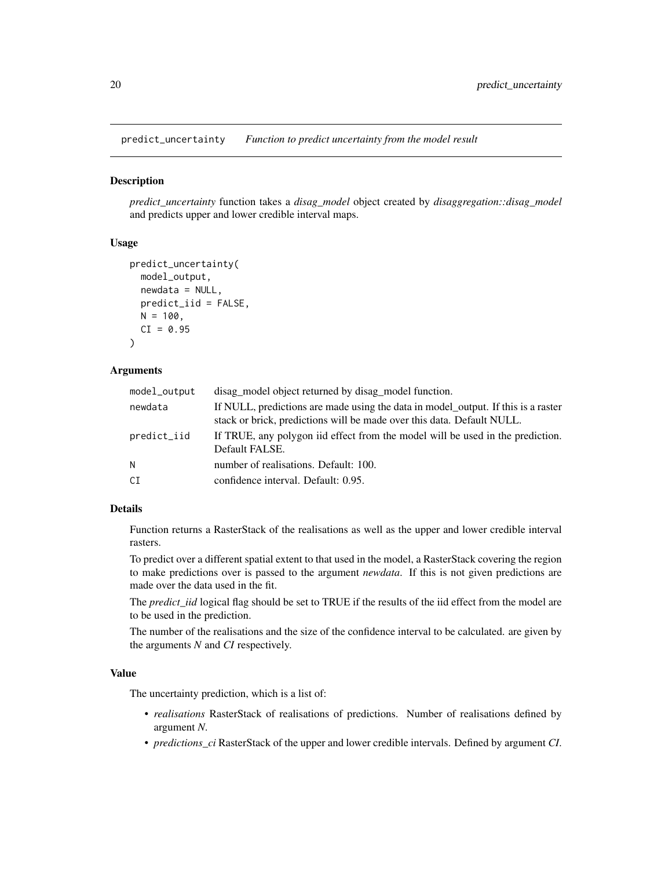<span id="page-19-0"></span>predict\_uncertainty *Function to predict uncertainty from the model result*

# Description

*predict\_uncertainty* function takes a *disag\_model* object created by *disaggregation::disag\_model* and predicts upper and lower credible interval maps.

#### Usage

```
predict_uncertainty(
 model_output,
 newdata = NULL,
 predict_iid = FALSE,
 N = 100.
 CI = 0.95)
```
#### Arguments

| model_output | disag_model object returned by disag_model function.                                                                                                        |
|--------------|-------------------------------------------------------------------------------------------------------------------------------------------------------------|
| newdata      | If NULL, predictions are made using the data in model_output. If this is a raster<br>stack or brick, predictions will be made over this data. Default NULL. |
| predict_iid  | If TRUE, any polygon iid effect from the model will be used in the prediction.<br>Default FALSE.                                                            |
| N            | number of realisations. Default: 100.                                                                                                                       |
| СI           | confidence interval. Default: 0.95.                                                                                                                         |

#### Details

Function returns a RasterStack of the realisations as well as the upper and lower credible interval rasters.

To predict over a different spatial extent to that used in the model, a RasterStack covering the region to make predictions over is passed to the argument *newdata*. If this is not given predictions are made over the data used in the fit.

The *predict\_iid* logical flag should be set to TRUE if the results of the iid effect from the model are to be used in the prediction.

The number of the realisations and the size of the confidence interval to be calculated. are given by the arguments *N* and *CI* respectively.

## Value

The uncertainty prediction, which is a list of:

- *realisations* RasterStack of realisations of predictions. Number of realisations defined by argument *N*.
- *predictions\_ci* RasterStack of the upper and lower credible intervals. Defined by argument *CI*.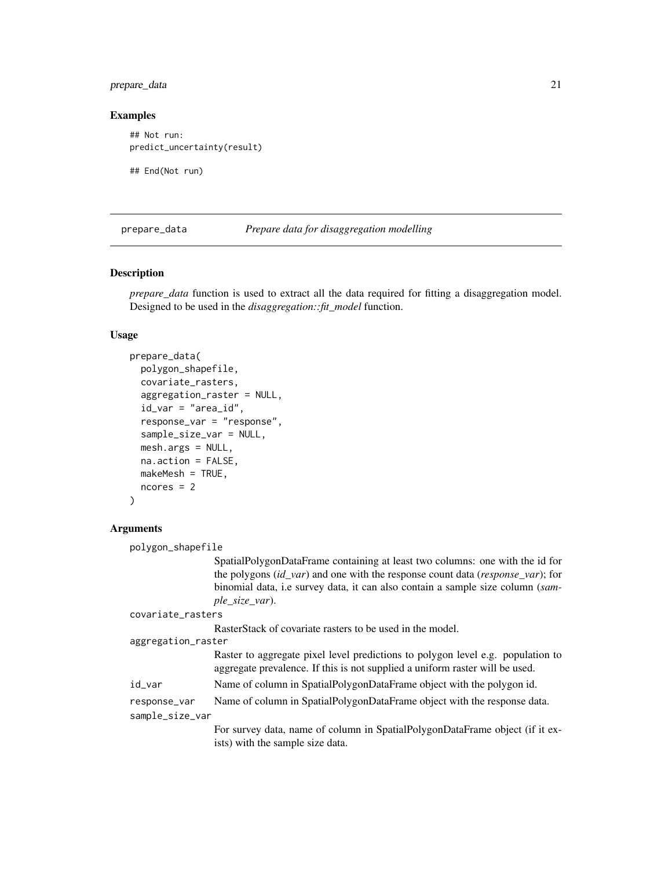# <span id="page-20-0"></span>prepare\_data 21

#### Examples

## Not run: predict\_uncertainty(result)

## End(Not run)

<span id="page-20-1"></span>prepare\_data *Prepare data for disaggregation modelling*

# **Description**

*prepare\_data* function is used to extract all the data required for fitting a disaggregation model. Designed to be used in the *disaggregation::fit\_model* function.

#### Usage

```
prepare_data(
 polygon_shapefile,
  covariate_rasters,
  aggregation_raster = NULL,
  id_{var} = "area_id",response_var = "response",
  sample_size_var = NULL,
  mesh.args = NULL,
 na.action = FALSE,
 makeMesh = TRUE,
  ncores = 2)
```
#### Arguments

```
polygon_shapefile
                  SpatialPolygonDataFrame containing at least two columns: one with the id for
                  the polygons (id_var) and one with the response count data (response_var); for
                  binomial data, i.e survey data, it can also contain a sample size column (sam-
                  ple_size_var).
covariate_rasters
                  RasterStack of covariate rasters to be used in the model.
aggregation_raster
                  Raster to aggregate pixel level predictions to polygon level e.g. population to
                  aggregate prevalence. If this is not supplied a uniform raster will be used.
id_var Name of column in SpatialPolygonDataFrame object with the polygon id.
response_var Name of column in SpatialPolygonDataFrame object with the response data.
sample_size_var
                  For survey data, name of column in SpatialPolygonDataFrame object (if it ex-
                  ists) with the sample size data.
```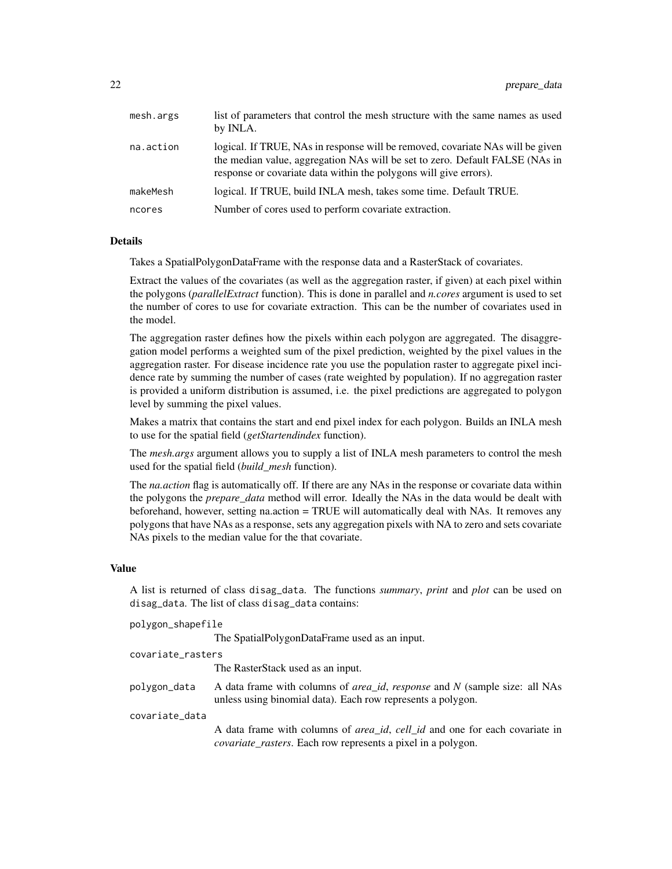| mesh.args | list of parameters that control the mesh structure with the same names as used<br>by INLA.                                                                                                                                          |
|-----------|-------------------------------------------------------------------------------------------------------------------------------------------------------------------------------------------------------------------------------------|
| na.action | logical. If TRUE, NAs in response will be removed, covariate NAs will be given<br>the median value, aggregation NAs will be set to zero. Default FALSE (NAs in<br>response or covariate data within the polygons will give errors). |
| makeMesh  | logical. If TRUE, build INLA mesh, takes some time. Default TRUE.                                                                                                                                                                   |
| ncores    | Number of cores used to perform covariate extraction.                                                                                                                                                                               |

## Details

Takes a SpatialPolygonDataFrame with the response data and a RasterStack of covariates.

Extract the values of the covariates (as well as the aggregation raster, if given) at each pixel within the polygons (*parallelExtract* function). This is done in parallel and *n.cores* argument is used to set the number of cores to use for covariate extraction. This can be the number of covariates used in the model.

The aggregation raster defines how the pixels within each polygon are aggregated. The disaggregation model performs a weighted sum of the pixel prediction, weighted by the pixel values in the aggregation raster. For disease incidence rate you use the population raster to aggregate pixel incidence rate by summing the number of cases (rate weighted by population). If no aggregation raster is provided a uniform distribution is assumed, i.e. the pixel predictions are aggregated to polygon level by summing the pixel values.

Makes a matrix that contains the start and end pixel index for each polygon. Builds an INLA mesh to use for the spatial field (*getStartendindex* function).

The *mesh.args* argument allows you to supply a list of INLA mesh parameters to control the mesh used for the spatial field (*build\_mesh* function).

The *na.action* flag is automatically off. If there are any NAs in the response or covariate data within the polygons the *prepare\_data* method will error. Ideally the NAs in the data would be dealt with beforehand, however, setting na.action = TRUE will automatically deal with NAs. It removes any polygons that have NAs as a response, sets any aggregation pixels with NA to zero and sets covariate NAs pixels to the median value for the that covariate.

#### Value

A list is returned of class disag\_data. The functions *summary*, *print* and *plot* can be used on disag\_data. The list of class disag\_data contains:

| polygon_shapefile |  |
|-------------------|--|
|-------------------|--|

The SpatialPolygonDataFrame used as an input.

| covariate_rasters |                                                                                                                                                  |
|-------------------|--------------------------------------------------------------------------------------------------------------------------------------------------|
|                   | The RasterStack used as an input.                                                                                                                |
| polygon_data      | A data frame with columns of <i>area id, response</i> and N (sample size: all NAs<br>unless using binomial data). Each row represents a polygon. |
| covariate_data    |                                                                                                                                                  |
|                   | A data frame with columns of <i>grea id cell id</i> and one for each covariate in                                                                |

A data frame with columns of *area\_id*, *cell\_id* and one for each covariate in *covariate\_rasters*. Each row represents a pixel in a polygon.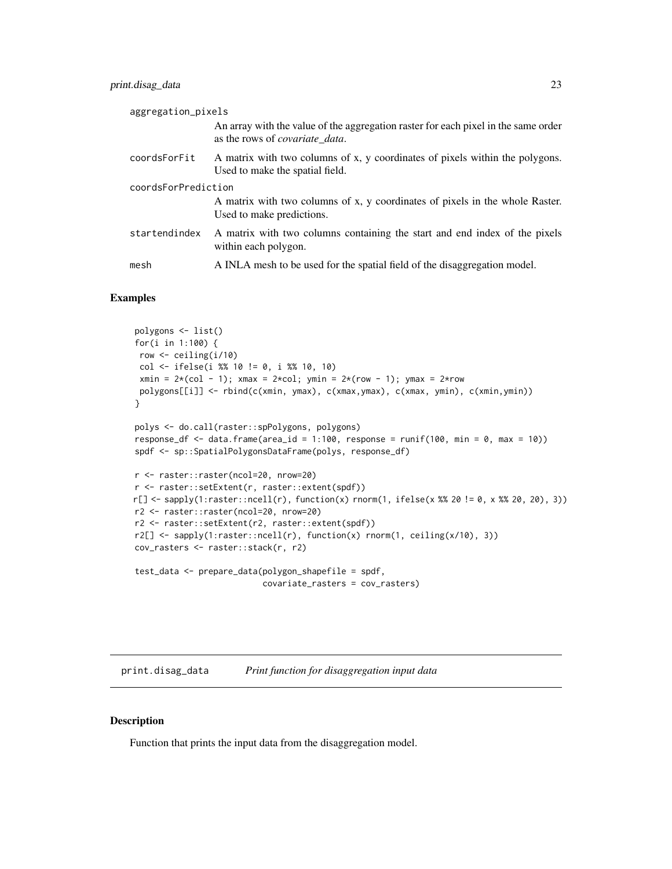<span id="page-22-0"></span>

| aggregation_pixels  |                                                                                                                              |  |
|---------------------|------------------------------------------------------------------------------------------------------------------------------|--|
|                     | An array with the value of the aggregation raster for each pixel in the same order<br>as the rows of <i>covariate data</i> . |  |
| coordsForFit        | A matrix with two columns of x, y coordinates of pixels within the polygons.<br>Used to make the spatial field.              |  |
| coordsForPrediction |                                                                                                                              |  |
|                     | A matrix with two columns of x, y coordinates of pixels in the whole Raster.<br>Used to make predictions.                    |  |
| startendindex       | A matrix with two columns containing the start and end index of the pixels<br>within each polygon.                           |  |
| mesh                | A INLA mesh to be used for the spatial field of the disaggregation model.                                                    |  |

#### Examples

```
polygons <- list()
for(i in 1:100) {
 row <- ceiling(i/10)
 col <- ifelse(i %% 10 != 0, i %% 10, 10)
 xmin = 2*(col - 1); xmax = 2*col; ymin = 2*(row - 1); ymax = 2*rowpolygons[[i]] <- rbind(c(xmin, ymax), c(xmax,ymax), c(xmax, ymin), c(xmin,ymin))
}
polys <- do.call(raster::spPolygons, polygons)
response_df <- data.frame(area_id = 1:100, response = runif(100, min = 0, max = 10))
spdf <- sp::SpatialPolygonsDataFrame(polys, response_df)
r <- raster::raster(ncol=20, nrow=20)
r <- raster::setExtent(r, raster::extent(spdf))
r[] <- sapply(1:raster::ncell(r), function(x) rnorm(1, ifelse(x %% 20 != 0, x %% 20, 20), 3))
r2 <- raster::raster(ncol=20, nrow=20)
r2 <- raster::setExtent(r2, raster::extent(spdf))
r2[] \leq sapply(1:raster::ncell(r), function(x) rnorm(1, ceiling(x/10), 3))
cov_rasters <- raster::stack(r, r2)
test_data <- prepare_data(polygon_shapefile = spdf,
                          covariate_rasters = cov_rasters)
```
print.disag\_data *Print function for disaggregation input data*

#### Description

Function that prints the input data from the disaggregation model.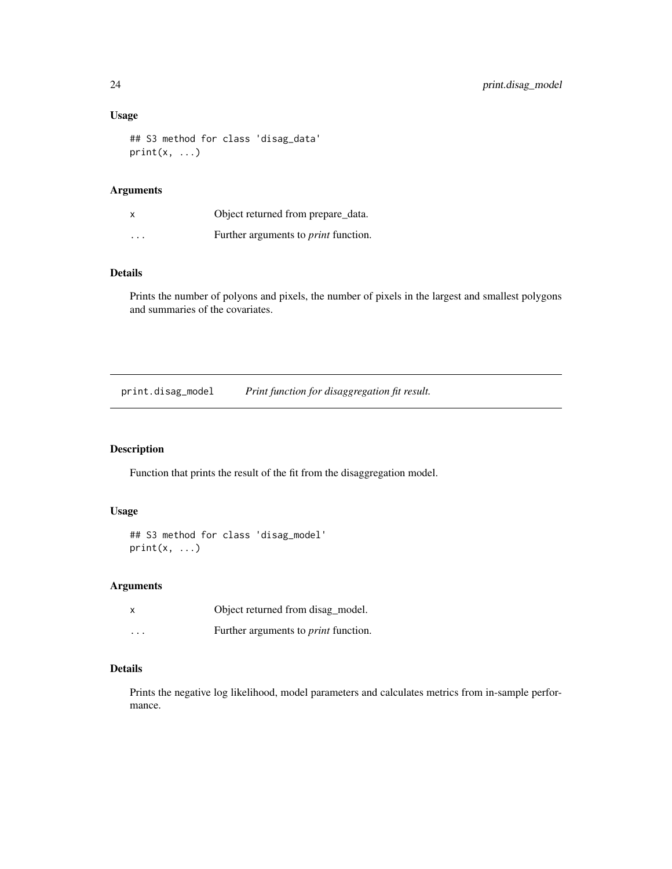# Usage

```
## S3 method for class 'disag_data'
print(x, \ldots)
```
#### Arguments

| x        | Object returned from prepare_data.          |
|----------|---------------------------------------------|
| $\cdots$ | Further arguments to <i>print</i> function. |

# Details

Prints the number of polyons and pixels, the number of pixels in the largest and smallest polygons and summaries of the covariates.

print.disag\_model *Print function for disaggregation fit result.*

#### Description

Function that prints the result of the fit from the disaggregation model.

#### Usage

```
## S3 method for class 'disag_model'
print(x, \ldots)
```
#### Arguments

| x        | Object returned from disag_model.           |
|----------|---------------------------------------------|
| $\cdots$ | Further arguments to <i>print</i> function. |

# Details

Prints the negative log likelihood, model parameters and calculates metrics from in-sample performance.

<span id="page-23-0"></span>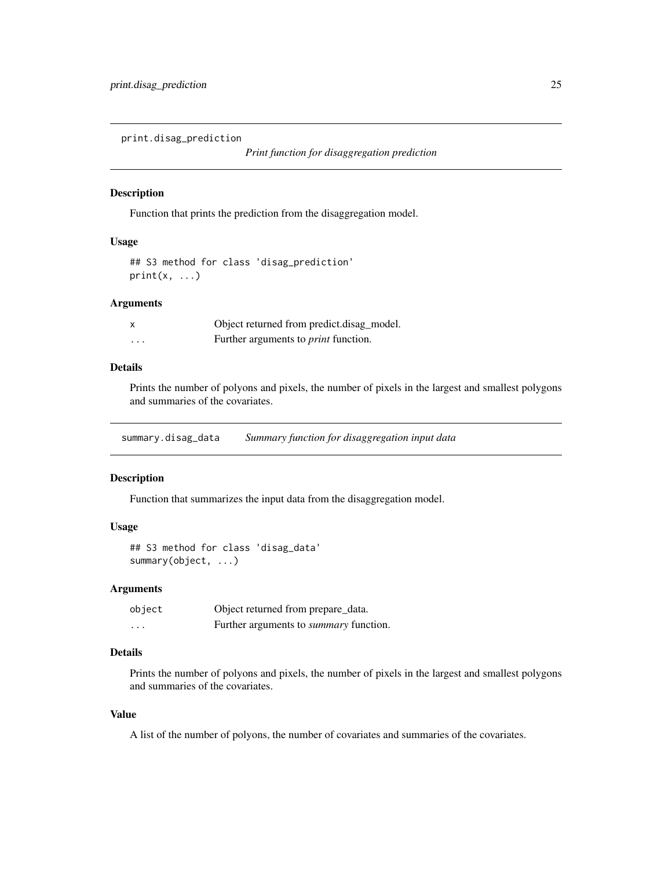<span id="page-24-0"></span>print.disag\_prediction

# Description

Function that prints the prediction from the disaggregation model.

# Usage

```
## S3 method for class 'disag_prediction'
print(x, \ldots)
```
#### Arguments

| $\boldsymbol{\mathsf{x}}$ | Object returned from predict.disag_model.   |
|---------------------------|---------------------------------------------|
| .                         | Further arguments to <i>print</i> function. |

# Details

Prints the number of polyons and pixels, the number of pixels in the largest and smallest polygons and summaries of the covariates.

summary.disag\_data *Summary function for disaggregation input data*

#### Description

Function that summarizes the input data from the disaggregation model.

#### Usage

```
## S3 method for class 'disag_data'
summary(object, ...)
```
#### Arguments

| object  | Object returned from prepare_data.            |
|---------|-----------------------------------------------|
| $\cdot$ | Further arguments to <i>summary</i> function. |

# Details

Prints the number of polyons and pixels, the number of pixels in the largest and smallest polygons and summaries of the covariates.

#### Value

A list of the number of polyons, the number of covariates and summaries of the covariates.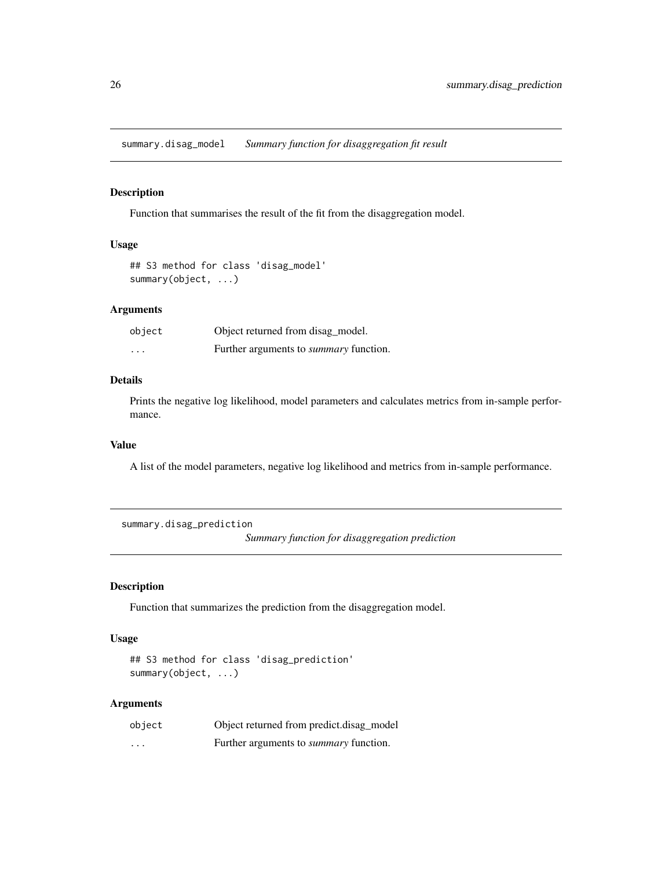<span id="page-25-0"></span>summary.disag\_model *Summary function for disaggregation fit result*

# Description

Function that summarises the result of the fit from the disaggregation model.

# Usage

## S3 method for class 'disag\_model' summary(object, ...)

#### Arguments

| object   | Object returned from disag_model.             |
|----------|-----------------------------------------------|
| $\cdots$ | Further arguments to <i>summary</i> function. |

# Details

Prints the negative log likelihood, model parameters and calculates metrics from in-sample performance.

#### Value

A list of the model parameters, negative log likelihood and metrics from in-sample performance.

summary.disag\_prediction *Summary function for disaggregation prediction*

Description

Function that summarizes the prediction from the disaggregation model.

#### Usage

```
## S3 method for class 'disag_prediction'
summary(object, ...)
```
#### Arguments

| object   | Object returned from predict.disag_model      |
|----------|-----------------------------------------------|
| $\cdots$ | Further arguments to <i>summary</i> function. |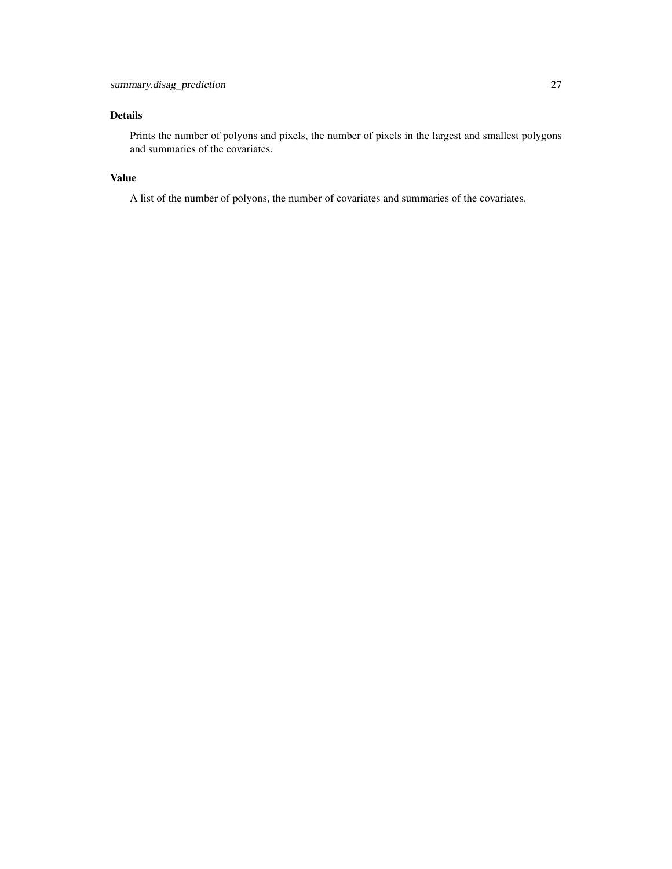# Details

Prints the number of polyons and pixels, the number of pixels in the largest and smallest polygons and summaries of the covariates.

# Value

A list of the number of polyons, the number of covariates and summaries of the covariates.